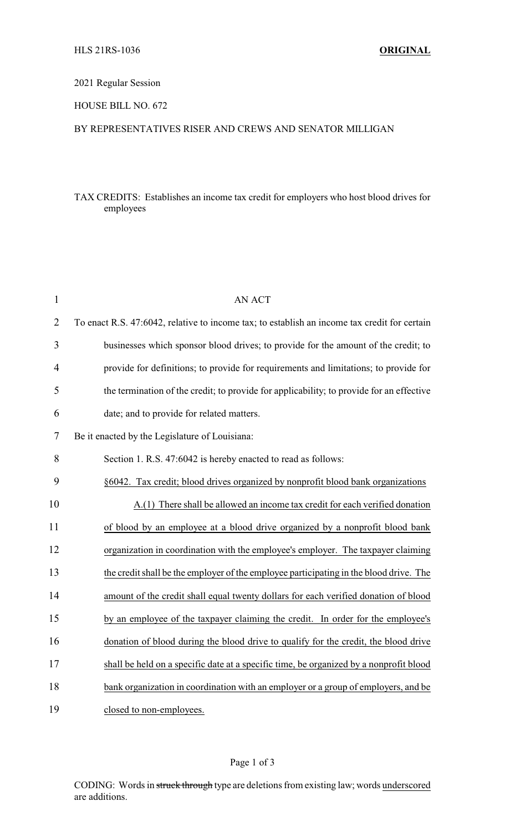# 2021 Regular Session

### HOUSE BILL NO. 672

### BY REPRESENTATIVES RISER AND CREWS AND SENATOR MILLIGAN

# TAX CREDITS: Establishes an income tax credit for employers who host blood drives for employees

| 1              | <b>AN ACT</b>                                                                                |
|----------------|----------------------------------------------------------------------------------------------|
| $\overline{2}$ | To enact R.S. 47:6042, relative to income tax; to establish an income tax credit for certain |
| 3              | businesses which sponsor blood drives; to provide for the amount of the credit; to           |
| $\overline{4}$ | provide for definitions; to provide for requirements and limitations; to provide for         |
| 5              | the termination of the credit; to provide for applicability; to provide for an effective     |
| 6              | date; and to provide for related matters.                                                    |
| 7              | Be it enacted by the Legislature of Louisiana:                                               |
| 8              | Section 1. R.S. 47:6042 is hereby enacted to read as follows:                                |
| 9              | §6042. Tax credit; blood drives organized by nonprofit blood bank organizations              |
| 10             | A.(1) There shall be allowed an income tax credit for each verified donation                 |
| 11             | of blood by an employee at a blood drive organized by a nonprofit blood bank                 |
| 12             | organization in coordination with the employee's employer. The taxpayer claiming             |
| 13             | the credit shall be the employer of the employee participating in the blood drive. The       |
| 14             | amount of the credit shall equal twenty dollars for each verified donation of blood          |
| 15             | by an employee of the taxpayer claiming the credit. In order for the employee's              |
| 16             | donation of blood during the blood drive to qualify for the credit, the blood drive          |
| 17             | shall be held on a specific date at a specific time, be organized by a nonprofit blood       |
| 18             | bank organization in coordination with an employer or a group of employers, and be           |
| 19             | closed to non-employees.                                                                     |

CODING: Words in struck through type are deletions from existing law; words underscored are additions.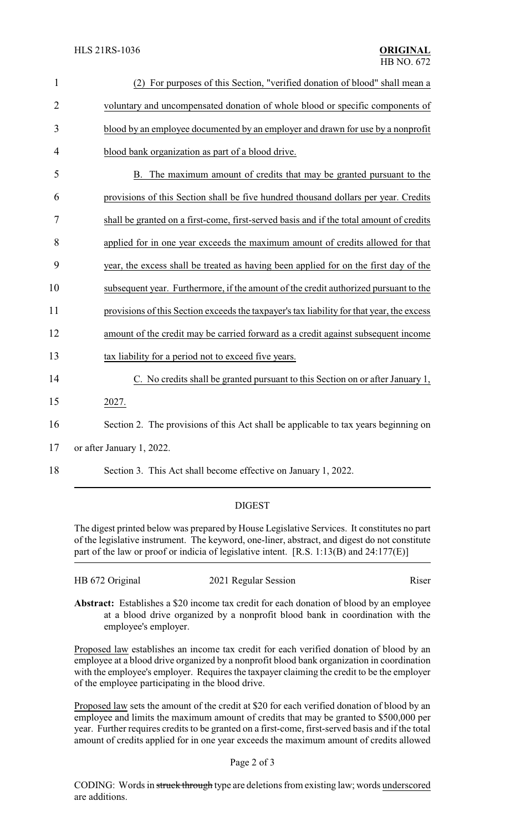| $\mathbf{1}$   | (2) For purposes of this Section, "verified donation of blood" shall mean a               |
|----------------|-------------------------------------------------------------------------------------------|
| $\overline{2}$ | voluntary and uncompensated donation of whole blood or specific components of             |
| 3              | blood by an employee documented by an employer and drawn for use by a nonprofit           |
| 4              | blood bank organization as part of a blood drive.                                         |
| 5              | B. The maximum amount of credits that may be granted pursuant to the                      |
| 6              | provisions of this Section shall be five hundred thousand dollars per year. Credits       |
| 7              | shall be granted on a first-come, first-served basis and if the total amount of credits   |
| 8              | applied for in one year exceeds the maximum amount of credits allowed for that            |
| 9              | year, the excess shall be treated as having been applied for on the first day of the      |
| 10             | subsequent year. Furthermore, if the amount of the credit authorized pursuant to the      |
| 11             | provisions of this Section exceeds the taxpayer's tax liability for that year, the excess |
| 12             | amount of the credit may be carried forward as a credit against subsequent income         |
| 13             | tax liability for a period not to exceed five years.                                      |
| 14             | C. No credits shall be granted pursuant to this Section on or after January 1,            |
| 15             | 2027.                                                                                     |
| 16             | Section 2. The provisions of this Act shall be applicable to tax years beginning on       |
| 17             | or after January 1, 2022.                                                                 |
| 18             | Section 3. This Act shall become effective on January 1, 2022.                            |

# DIGEST

The digest printed below was prepared by House Legislative Services. It constitutes no part of the legislative instrument. The keyword, one-liner, abstract, and digest do not constitute part of the law or proof or indicia of legislative intent. [R.S. 1:13(B) and 24:177(E)]

| HB 672 Original | 2021 Regular Session | Riser |
|-----------------|----------------------|-------|
|                 |                      |       |

**Abstract:** Establishes a \$20 income tax credit for each donation of blood by an employee at a blood drive organized by a nonprofit blood bank in coordination with the employee's employer.

Proposed law establishes an income tax credit for each verified donation of blood by an employee at a blood drive organized by a nonprofit blood bank organization in coordination with the employee's employer. Requires the taxpayer claiming the credit to be the employer of the employee participating in the blood drive.

Proposed law sets the amount of the credit at \$20 for each verified donation of blood by an employee and limits the maximum amount of credits that may be granted to \$500,000 per year. Further requires credits to be granted on a first-come, first-served basis and if the total amount of credits applied for in one year exceeds the maximum amount of credits allowed

#### Page 2 of 3

CODING: Words in struck through type are deletions from existing law; words underscored are additions.